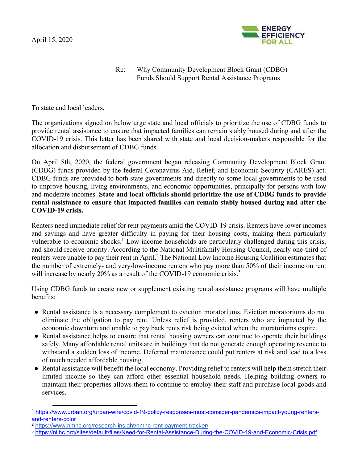

## Re: Why Community Development Block Grant (CDBG) Funds Should Support Rental Assistance Programs

To state and local leaders,

The organizations signed on below urge state and local officials to prioritize the use of CDBG funds to provide rental assistance to ensure that impacted families can remain stably housed during and after the COVID-19 crisis. This letter has been shared with state and local decision-makers responsible for the allocation and disbursement of CDBG funds.

On April 8th, 2020, the federal government began releasing Community Development Block Grant (CDBG) funds provided by the federal Coronavirus Aid, Relief, and Economic Security (CARES) act. CDBG funds are provided to both state governments and directly to some local governments to be used to improve housing, living environments, and economic opportunities, principally for persons with low and moderate incomes. **State and local officials should prioritize the use of CDBG funds to provide rental assistance to ensure that impacted families can remain stably housed during and after the COVID-19 crisis.**

Renters need immediate relief for rent payments amid the COVID-19 crisis. Renters have lower incomes and savings and have greater difficulty in paying for their housing costs, making them particularly vulnerable to economic shocks.<sup>1</sup> Low-income households are particularly challenged during this crisis, and should receive priority. According to the National Multifamily Housing Council, nearly one-third of renters were unable to pay their rent in April.<sup>2</sup> The National Low Income Housing Coalition estimates that the number of extremely- and very-low-income renters who pay more than 50% of their income on rent will increase by nearly 20% as a result of the COVID-19 economic crisis.<sup>3</sup>

Using CDBG funds to create new or supplement existing rental assistance programs will have multiple benefits:

- Rental assistance is a necessary complement to eviction moratoriums. Eviction moratoriums do not eliminate the obligation to pay rent. Unless relief is provided, renters who are impacted by the economic downturn and unable to pay back rents risk being evicted when the moratoriums expire.
- Rental assistance helps to ensure that rental housing owners can continue to operate their buildings safely. Many affordable rental units are in buildings that do not generate enough operating revenue to withstand a sudden loss of income. Deferred maintenance could put renters at risk and lead to a loss of much needed affordable housing.
- Rental assistance will benefit the local economy. Providing relief to renters will help them stretch their limited income so they can afford other essential household needs. Helping building owners to maintain their properties allows them to continue to employ their staff and purchase local goods and services.

<sup>1</sup> https://www.urban.org/urban-wire/covid-19-policy-responses-must-consider-pandemics-impact-young-rentersand-renters-color<br><sup>2</sup> https://www.nmhc.org/research-insight/nmhc-rent-payment-tracker/

<sup>&</sup>lt;sup>3</sup> https://nlihc.org/sites/default/files/Need-for-Rental-Assistance-During-the-COVID-19-and-Economic-Crisis.pdf